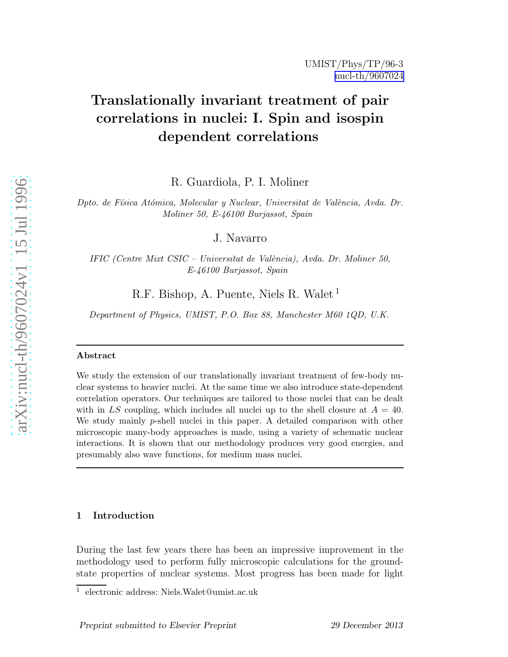# Translationally invariant treatment of pair correlations in nuclei: I. Spin and isospin dependent correlations

R. Guardiola, P. I. Moliner

Dpto. de Física Atómica, Molecular y Nuclear, Universitat de València, Avda. Dr. Moliner 50, E-46100 Burjassot, Spain

J. Navarro

IFIC (Centre Mixt CSIC – Universitat de València), Avda. Dr. Moliner 50, E-46100 Burjassot, Spain

R.F. Bishop, A. Puente, Niels R. Walet<sup>1</sup>

Department of Physics, UMIST, P.O. Box 88, Manchester M60 1QD, U.K.

## Abstract

We study the extension of our translationally invariant treatment of few-body nuclear systems to heavier nuclei. At the same time we also introduce state-dependent correlation operators. Our techniques are tailored to those nuclei that can be dealt with in LS coupling, which includes all nuclei up to the shell closure at  $A = 40$ . We study mainly *p*-shell nuclei in this paper. A detailed comparison with other microscopic many-body approaches is made, using a variety of schematic nuclear interactions. It is shown that our methodology produces very good energies, and presumably also wave functions, for medium mass nuclei.

## 1 Introduction

During the last few years there has been an impressive improvement in the methodology used to perform fully microscopic calculations for the groundstate properties of nuclear systems. Most progress has been made for light

<sup>1</sup> electronic address: Niels.Walet@umist.ac.uk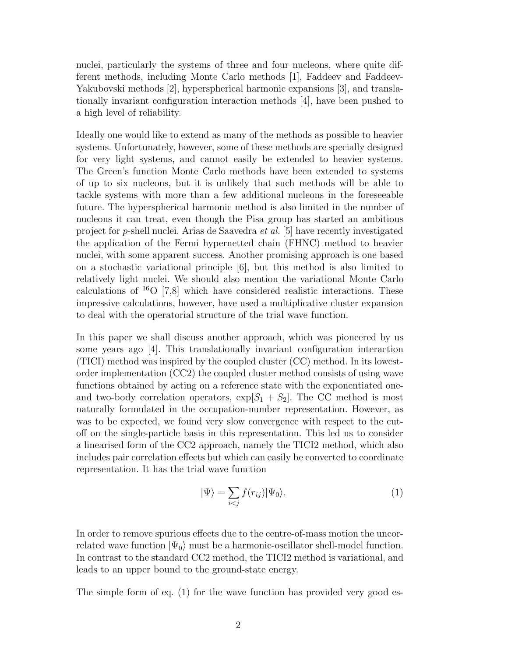nuclei, particularly the systems of three and four nucleons, where quite different methods, including Monte Carlo methods [1], Faddeev and Faddeev-Yakubovski methods [2], hyperspherical harmonic expansions [3], and translationally invariant configuration interaction methods [4], have been pushed to a high level of reliability.

Ideally one would like to extend as many of the methods as possible to heavier systems. Unfortunately, however, some of these methods are specially designed for very light systems, and cannot easily be extended to heavier systems. The Green's function Monte Carlo methods have been extended to systems of up to six nucleons, but it is unlikely that such methods will be able to tackle systems with more than a few additional nucleons in the foreseeable future. The hyperspherical harmonic method is also limited in the number of nucleons it can treat, even though the Pisa group has started an ambitious project for p-shell nuclei. Arias de Saavedra et al. [5] have recently investigated the application of the Fermi hypernetted chain (FHNC) method to heavier nuclei, with some apparent success. Another promising approach is one based on a stochastic variational principle [6], but this method is also limited to relatively light nuclei. We should also mention the variational Monte Carlo calculations of  $^{16}O$  [7,8] which have considered realistic interactions. These impressive calculations, however, have used a multiplicative cluster expansion to deal with the operatorial structure of the trial wave function.

In this paper we shall discuss another approach, which was pioneered by us some years ago [4]. This translationally invariant configuration interaction (TICI) method was inspired by the coupled cluster (CC) method. In its lowestorder implementation (CC2) the coupled cluster method consists of using wave functions obtained by acting on a reference state with the exponentiated oneand two-body correlation operators,  $\exp[S_1 + S_2]$ . The CC method is most naturally formulated in the occupation-number representation. However, as was to be expected, we found very slow convergence with respect to the cutoff on the single-particle basis in this representation. This led us to consider a linearised form of the CC2 approach, namely the TICI2 method, which also includes pair correlation effects but which can easily be converted to coordinate representation. It has the trial wave function

$$
|\Psi\rangle = \sum_{i < j} f(r_{ij}) |\Psi_0\rangle. \tag{1}
$$

In order to remove spurious effects due to the centre-of-mass motion the uncorrelated wave function  $|\Psi_0\rangle$  must be a harmonic-oscillator shell-model function. In contrast to the standard CC2 method, the TICI2 method is variational, and leads to an upper bound to the ground-state energy.

The simple form of eq. (1) for the wave function has provided very good es-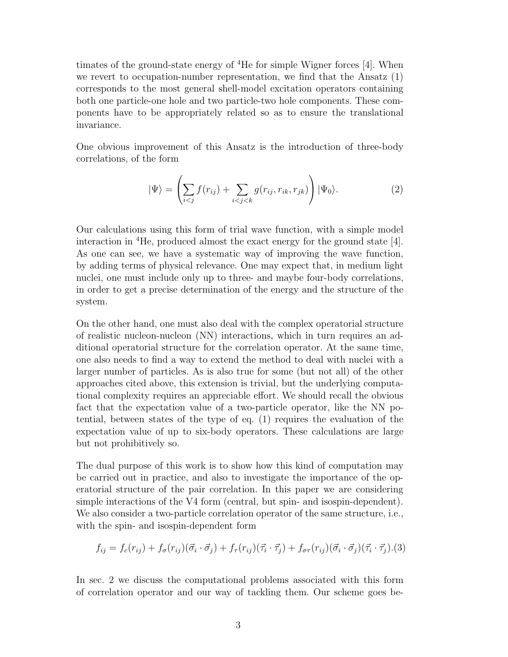timates of the ground-state energy of <sup>4</sup>He for simple Wigner forces [4]. When we revert to occupation-number representation, we find that the Ansatz (1) corresponds to the most general shell-model excitation operators containing both one particle-one hole and two particle-two hole components. These components have to be appropriately related so as to ensure the translational invariance.

One obvious improvement of this Ansatz is the introduction of three-body correlations, of the form

$$
|\Psi\rangle = \left(\sum_{i < j} f(r_{ij}) + \sum_{i < j < k} g(r_{ij}, r_{ik}, r_{jk})\right) |\Psi_0\rangle. \tag{2}
$$

Our calculations using this form of trial wave function, with a simple model interaction in <sup>4</sup>He, produced almost the exact energy for the ground state [4]. As one can see, we have a systematic way of improving the wave function, by adding terms of physical relevance. One may expect that, in medium light nuclei, one must include only up to three- and maybe four-body correlations, in order to get a precise determination of the energy and the structure of the system.

On the other hand, one must also deal with the complex operatorial structure of realistic nucleon-nucleon (NN) interactions, which in turn requires an additional operatorial structure for the correlation operator. At the same time, one also needs to find a way to extend the method to deal with nuclei with a larger number of particles. As is also true for some (but not all) of the other approaches cited above, this extension is trivial, but the underlying computational complexity requires an appreciable effort. We should recall the obvious fact that the expectation value of a two-particle operator, like the NN potential, between states of the type of eq. (1) requires the evaluation of the expectation value of up to six-body operators. These calculations are large but not prohibitively so.

The dual purpose of this work is to show how this kind of computation may be carried out in practice, and also to investigate the importance of the operatorial structure of the pair correlation. In this paper we are considering simple interactions of the V4 form (central, but spin- and isospin-dependent). We also consider a two-particle correlation operator of the same structure, i.e., with the spin- and isospin-dependent form

$$
f_{ij} = f_c(r_{ij}) + f_\sigma(r_{ij})(\vec{\sigma}_i \cdot \vec{\sigma}_j) + f_\tau(r_{ij})(\vec{\tau}_i \cdot \vec{\tau}_j) + f_{\sigma\tau}(r_{ij})(\vec{\sigma}_i \cdot \vec{\sigma}_j)(\vec{\tau}_i \cdot \vec{\tau}_j).
$$
 (3)

In sec. 2 we discuss the computational problems associated with this form of correlation operator and our way of tackling them. Our scheme goes be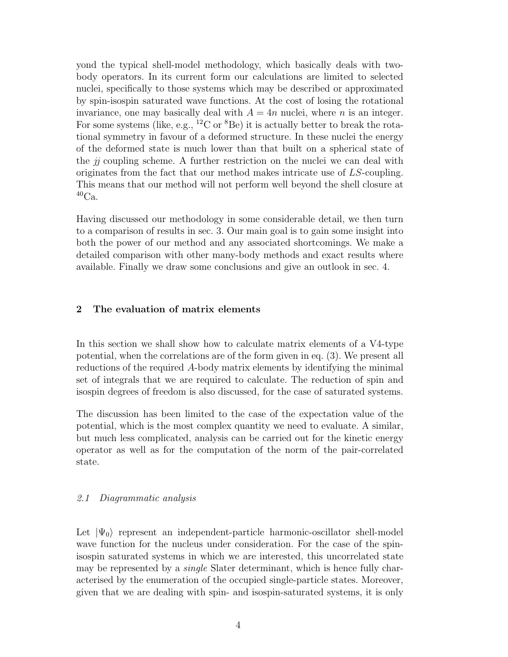yond the typical shell-model methodology, which basically deals with twobody operators. In its current form our calculations are limited to selected nuclei, specifically to those systems which may be described or approximated by spin-isospin saturated wave functions. At the cost of losing the rotational invariance, one may basically deal with  $A = 4n$  nuclei, where n is an integer. For some systems (like, e.g.,  ${}^{12}$ C or  ${}^{8}$ Be) it is actually better to break the rotational symmetry in favour of a deformed structure. In these nuclei the energy of the deformed state is much lower than that built on a spherical state of the  $ji$  coupling scheme. A further restriction on the nuclei we can deal with originates from the fact that our method makes intricate use of LS-coupling. This means that our method will not perform well beyond the shell closure at  ${}^{40}Ca.$ 

Having discussed our methodology in some considerable detail, we then turn to a comparison of results in sec. 3. Our main goal is to gain some insight into both the power of our method and any associated shortcomings. We make a detailed comparison with other many-body methods and exact results where available. Finally we draw some conclusions and give an outlook in sec. 4.

## 2 The evaluation of matrix elements

In this section we shall show how to calculate matrix elements of a V4-type potential, when the correlations are of the form given in eq. (3). We present all reductions of the required A-body matrix elements by identifying the minimal set of integrals that we are required to calculate. The reduction of spin and isospin degrees of freedom is also discussed, for the case of saturated systems.

The discussion has been limited to the case of the expectation value of the potential, which is the most complex quantity we need to evaluate. A similar, but much less complicated, analysis can be carried out for the kinetic energy operator as well as for the computation of the norm of the pair-correlated state.

## 2.1 Diagrammatic analysis

Let  $|\Psi_0\rangle$  represent an independent-particle harmonic-oscillator shell-model wave function for the nucleus under consideration. For the case of the spinisospin saturated systems in which we are interested, this uncorrelated state may be represented by a *single* Slater determinant, which is hence fully characterised by the enumeration of the occupied single-particle states. Moreover, given that we are dealing with spin- and isospin-saturated systems, it is only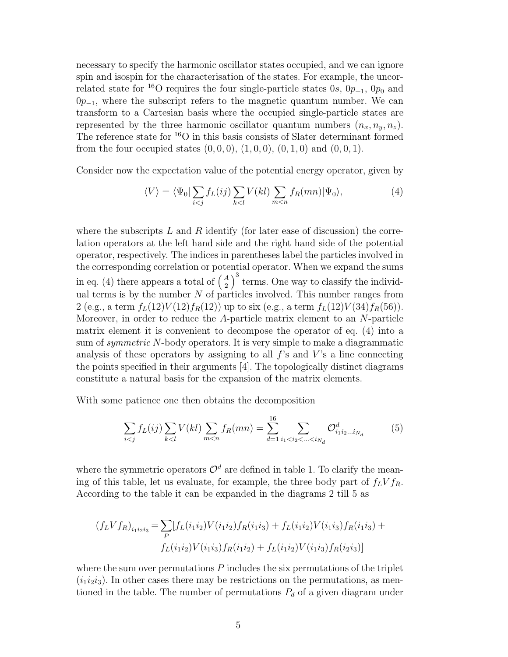necessary to specify the harmonic oscillator states occupied, and we can ignore spin and isospin for the characterisation of the states. For example, the uncorrelated state for <sup>16</sup>O requires the four single-particle states 0s,  $0p_{+1}$ ,  $0p_0$  and  $0p_{-1}$ , where the subscript refers to the magnetic quantum number. We can transform to a Cartesian basis where the occupied single-particle states are represented by the three harmonic oscillator quantum numbers  $(n_x, n_y, n_z)$ . The reference state for <sup>16</sup>O in this basis consists of Slater determinant formed from the four occupied states  $(0, 0, 0)$ ,  $(1, 0, 0)$ ,  $(0, 1, 0)$  and  $(0, 0, 1)$ .

Consider now the expectation value of the potential energy operator, given by

$$
\langle V \rangle = \langle \Psi_0 | \sum_{i < j} f_L(ij) \sum_{k < l} V(kl) \sum_{m < n} f_R(mn) | \Psi_0 \rangle,\tag{4}
$$

where the subscripts L and R identify (for later ease of discussion) the correlation operators at the left hand side and the right hand side of the potential operator, respectively. The indices in parentheses label the particles involved in the corresponding correlation or potential operator. When we expand the sums in eq. (4) there appears a total of  $\begin{pmatrix} A \\ 2 \end{pmatrix}$  $\binom{A}{2}^3$  terms. One way to classify the individual terms is by the number  $N$  of particles involved. This number ranges from 2 (e.g., a term  $f_L(12)V(12)f_R(12)$ ) up to six (e.g., a term  $f_L(12)V(34)f_R(56)$ ). Moreover, in order to reduce the  $A$ -particle matrix element to an  $N$ -particle matrix element it is convenient to decompose the operator of eq. (4) into a sum of *symmetric* N-body operators. It is very simple to make a diagrammatic analysis of these operators by assigning to all  $f$ 's and  $V$ 's a line connecting the points specified in their arguments [4]. The topologically distinct diagrams constitute a natural basis for the expansion of the matrix elements.

With some patience one then obtains the decomposition

$$
\sum_{i < j} f_L(ij) \sum_{k < l} V(kl) \sum_{m < n} f_R(mn) = \sum_{d=1}^{16} \sum_{i_1 < i_2 < \dots < i_{N_d}} \mathcal{O}_{i_1 i_2 \dots i_{N_d}}^d \tag{5}
$$

where the symmetric operators  $\mathcal{O}^d$  are defined in table 1. To clarify the meaning of this table, let us evaluate, for example, the three body part of  $f_L V f_R$ . According to the table it can be expanded in the diagrams 2 till 5 as

$$
(f_L V f_R)_{i_1 i_2 i_3} = \sum_P [f_L(i_1 i_2) V(i_1 i_2) f_R(i_1 i_3) + f_L(i_1 i_2) V(i_1 i_3) f_R(i_1 i_3) +
$$
  

$$
f_L(i_1 i_2) V(i_1 i_3) f_R(i_1 i_2) + f_L(i_1 i_2) V(i_1 i_3) f_R(i_2 i_3)]
$$

where the sum over permutations  $P$  includes the six permutations of the triplet  $(i_1i_2i_3)$ . In other cases there may be restrictions on the permutations, as mentioned in the table. The number of permutations  $P_d$  of a given diagram under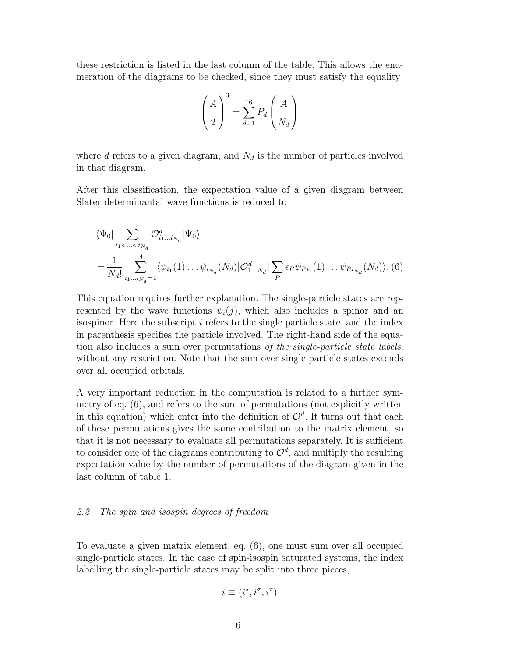these restriction is listed in the last column of the table. This allows the enumeration of the diagrams to be checked, since they must satisfy the equality

$$
\left(\begin{array}{c}A\\2\end{array}\right)^3 = \sum_{d=1}^{16} P_d \left(\begin{array}{c}A\\N_d\end{array}\right)
$$

where d refers to a given diagram, and  $N_d$  is the number of particles involved in that diagram.

After this classification, the expectation value of a given diagram between Slater determinantal wave functions is reduced to

$$
\langle \Psi_0 | \sum_{i_1 < ... < i_{N_d}} \mathcal{O}_{i_1...i_{N_d}}^d | \Psi_0 \rangle
$$
  
=  $\frac{1}{N_d!} \sum_{i_1...i_{N_d}=1}^A \langle \psi_{i_1}(1) ... \psi_{i_{N_d}}(N_d) | \mathcal{O}_{1...N_d}^d | \sum_P \epsilon_P \psi_{Pi_1}(1) ... \psi_{Pi_{N_d}}(N_d) \rangle$ . (6)

This equation requires further explanation. The single-particle states are represented by the wave functions  $\psi_i(j)$ , which also includes a spinor and an isospinor. Here the subscript i refers to the single particle state, and the index in parenthesis specifies the particle involved. The right-hand side of the equation also includes a sum over permutations of the single-particle state labels, without any restriction. Note that the sum over single particle states extends over all occupied orbitals.

A very important reduction in the computation is related to a further symmetry of eq. (6), and refers to the sum of permutations (not explicitly written in this equation) which enter into the definition of  $\mathcal{O}^d$ . It turns out that each of these permutations gives the same contribution to the matrix element, so that it is not necessary to evaluate all permutations separately. It is sufficient to consider one of the diagrams contributing to  $\mathcal{O}^d$ , and multiply the resulting expectation value by the number of permutations of the diagram given in the last column of table 1.

## 2.2 The spin and isospin degrees of freedom

To evaluate a given matrix element, eq. (6), one must sum over all occupied single-particle states. In the case of spin-isospin saturated systems, the index labelling the single-particle states may be split into three pieces,

$$
i \equiv (i^s, i^\sigma, i^\tau)
$$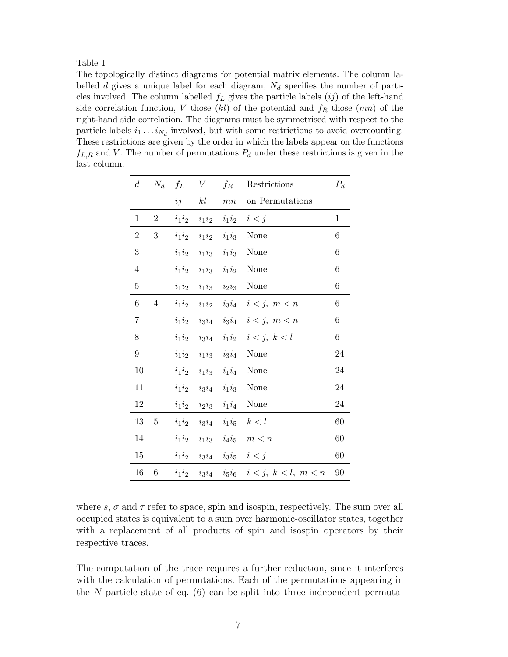The topologically distinct diagrams for potential matrix elements. The column labelled d gives a unique label for each diagram,  $N_d$  specifies the number of particles involved. The column labelled  $f_L$  gives the particle labels  $(ij)$  of the left-hand side correlation function, V those  $(kl)$  of the potential and  $f_R$  those  $(mn)$  of the right-hand side correlation. The diagrams must be symmetrised with respect to the particle labels  $i_1 \ldots i_{N_d}$  involved, but with some restrictions to avoid overcounting. These restrictions are given by the order in which the labels appear on the functions  $f_{L,R}$  and V. The number of permutations  $P_d$  under these restrictions is given in the last column.

| $d_{\cdot}$    | $N_d$ $f_L$    |    | V  | $f_R$ | Restrictions                                                        | $P_d$ |
|----------------|----------------|----|----|-------|---------------------------------------------------------------------|-------|
|                |                | ij | kl |       | $mn$ on Permutations                                                |       |
| $\mathbf 1$    | $\overline{2}$ |    |    |       | $i_1 i_2 \quad i_1 i_2 \quad i_1 i_2 \quad i < j$                   | 1     |
| $\sqrt{2}$     | 3              |    |    |       | $i_1i_2$ $i_1i_2$ $i_1i_3$ None                                     | 6     |
| 3              |                |    |    |       | $i_1i_2$ $i_1i_3$ $i_1i_3$ None                                     | 6     |
| $\overline{4}$ |                |    |    |       | $i_1i_2$ $i_1i_3$ $i_1i_2$ None                                     | 6     |
| $\bf 5$        |                |    |    |       | $i_1i_2$ $i_1i_3$ $i_2i_3$ None                                     | 6     |
| 6              | $\overline{4}$ |    |    |       | $i_1 i_2 \quad i_1 i_2 \quad i_3 i_4 \quad i < j, \ m < n$          | 6     |
| $\overline{7}$ |                |    |    |       | $i_1 i_2 \quad i_3 i_4 \quad i_3 i_4 \quad i < j, \ m < n$          | 6     |
| 8              |                |    |    |       | $i_1 i_2 \quad i_3 i_4 \quad i_1 i_2 \quad i < j, \ k < l$          | $\,6$ |
| 9              |                |    |    |       | $i_1i_2$ $i_1i_3$ $i_3i_4$ None                                     | 24    |
| 10             |                |    |    |       | $i_1i_2$ $i_1i_3$ $i_1i_4$ None                                     | 24    |
| 11             |                |    |    |       | $i_1i_2$ $i_3i_4$ $i_1i_3$ None                                     | 24    |
| 12             |                |    |    |       | $i_1i_2$ $i_2i_3$ $i_1i_4$ None                                     | 24    |
| 13             | $\overline{5}$ |    |    |       | $i_1 i_2 \quad i_3 i_4 \quad i_1 i_5 \quad k < l$                   | 60    |
| 14             |                |    |    |       | $i_1 i_2 \quad i_1 i_3 \quad i_4 i_5 \quad m < n$                   | 60    |
| 15             |                |    |    |       | $i_1 i_2 \quad i_3 i_4 \quad i_3 i_5 \quad i < j$                   | 60    |
| 16             | 6              |    |    |       | $i_1 i_2 \quad i_3 i_4 \quad i_5 i_6 \quad i < j, \ k < l, \ m < n$ | 90    |

where s,  $\sigma$  and  $\tau$  refer to space, spin and isospin, respectively. The sum over all occupied states is equivalent to a sum over harmonic-oscillator states, together with a replacement of all products of spin and isospin operators by their respective traces.

The computation of the trace requires a further reduction, since it interferes with the calculation of permutations. Each of the permutations appearing in the N-particle state of eq.  $(6)$  can be split into three independent permuta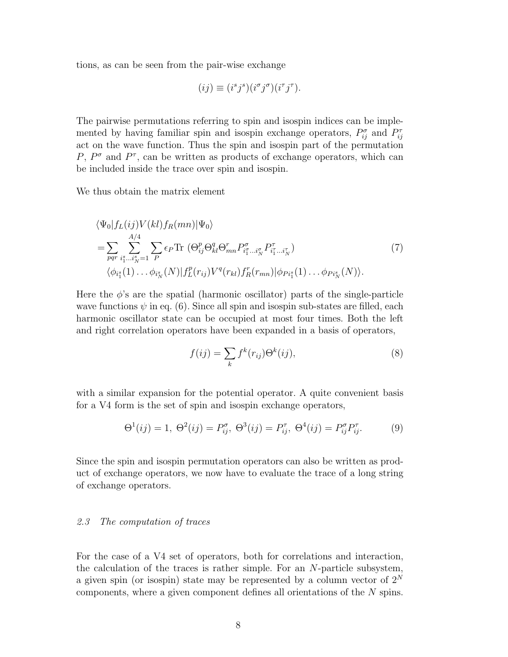tions, as can be seen from the pair-wise exchange

$$
(ij) \equiv (i^s j^s)(i^{\sigma} j^{\sigma})(i^{\tau} j^{\tau}).
$$

The pairwise permutations referring to spin and isospin indices can be implemented by having familiar spin and isospin exchange operators,  $P_{ij}^{\sigma}$  and  $P_{ij}^{\tau}$ act on the wave function. Thus the spin and isospin part of the permutation P,  $P^{\sigma}$  and  $P^{\tau}$ , can be written as products of exchange operators, which can be included inside the trace over spin and isospin.

We thus obtain the matrix element

$$
\langle \Psi_0 | f_L(ij) V(kl) f_R(mn) | \Psi_0 \rangle
$$
  
= 
$$
\sum_{pqr} \sum_{i_1^s...i_N^s=1}^{A/4} \sum_P \epsilon_P \text{Tr} \left( \Theta_{ij}^p \Theta_{kl}^q \Theta_{mn}^r P_{i_1^{\sigma}...i_N^{\sigma}}^{\sigma} P_{i_1^{\tau}...i_N^{\tau}}^{\tau} \right)
$$
  

$$
\langle \phi_{i_1^s}(1) ... \phi_{i_N^s}(N) | f_L^p(r_{ij}) V^q(r_{kl}) f_R^r(r_{mn}) | \phi_{Pi_1^s}(1) ... \phi_{Pi_N^s}(N) \rangle.
$$
 (7)

Here the  $\phi$ 's are the spatial (harmonic oscillator) parts of the single-particle wave functions  $\psi$  in eq. (6). Since all spin and isospin sub-states are filled, each harmonic oscillator state can be occupied at most four times. Both the left and right correlation operators have been expanded in a basis of operators,

$$
f(ij) = \sum_{k} f^{k}(r_{ij}) \Theta^{k}(ij),
$$
\n(8)

with a similar expansion for the potential operator. A quite convenient basis for a V4 form is the set of spin and isospin exchange operators,

$$
\Theta^{1}(ij) = 1, \ \Theta^{2}(ij) = P_{ij}^{\sigma}, \ \Theta^{3}(ij) = P_{ij}^{\tau}, \ \Theta^{4}(ij) = P_{ij}^{\sigma} P_{ij}^{\tau}.
$$
 (9)

Since the spin and isospin permutation operators can also be written as product of exchange operators, we now have to evaluate the trace of a long string of exchange operators.

### 2.3 The computation of traces

For the case of a V4 set of operators, both for correlations and interaction, the calculation of the traces is rather simple. For an N-particle subsystem, a given spin (or isospin) state may be represented by a column vector of  $2^N$ components, where a given component defines all orientations of the N spins.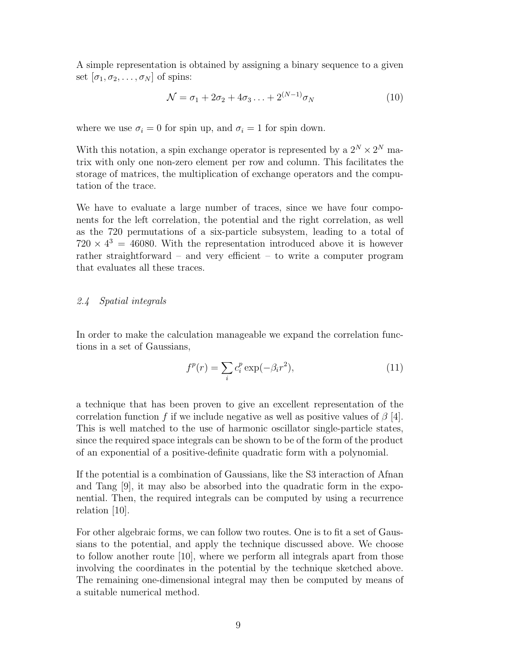A simple representation is obtained by assigning a binary sequence to a given set  $[\sigma_1, \sigma_2, \ldots, \sigma_N]$  of spins:

$$
\mathcal{N} = \sigma_1 + 2\sigma_2 + 4\sigma_3 \dots + 2^{(N-1)} \sigma_N \tag{10}
$$

where we use  $\sigma_i = 0$  for spin up, and  $\sigma_i = 1$  for spin down.

With this notation, a spin exchange operator is represented by a  $2^N \times 2^N$  matrix with only one non-zero element per row and column. This facilitates the storage of matrices, the multiplication of exchange operators and the computation of the trace.

We have to evaluate a large number of traces, since we have four components for the left correlation, the potential and the right correlation, as well as the 720 permutations of a six-particle subsystem, leading to a total of  $720 \times 4^3 = 46080$ . With the representation introduced above it is however rather straightforward – and very efficient – to write a computer program that evaluates all these traces.

# 2.4 Spatial integrals

In order to make the calculation manageable we expand the correlation functions in a set of Gaussians,

$$
f^p(r) = \sum_i c_i^p \exp(-\beta_i r^2),\tag{11}
$$

a technique that has been proven to give an excellent representation of the correlation function f if we include negative as well as positive values of  $\beta$  [4]. This is well matched to the use of harmonic oscillator single-particle states, since the required space integrals can be shown to be of the form of the product of an exponential of a positive-definite quadratic form with a polynomial.

If the potential is a combination of Gaussians, like the S3 interaction of Afnan and Tang [9], it may also be absorbed into the quadratic form in the exponential. Then, the required integrals can be computed by using a recurrence relation [10].

For other algebraic forms, we can follow two routes. One is to fit a set of Gaussians to the potential, and apply the technique discussed above. We choose to follow another route [10], where we perform all integrals apart from those involving the coordinates in the potential by the technique sketched above. The remaining one-dimensional integral may then be computed by means of a suitable numerical method.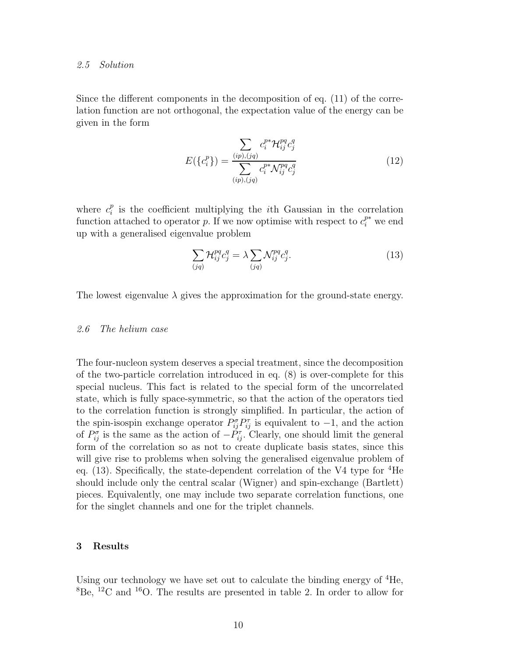#### 2.5 Solution

Since the different components in the decomposition of eq. (11) of the correlation function are not orthogonal, the expectation value of the energy can be given in the form

$$
E(\{c_i^p\}) = \frac{\sum_{(ip),(jq)} c_i^{p*} \mathcal{H}_{ij}^{pq} c_j^q}{\sum_{(ip),(jq)} c_i^{p*} \mathcal{N}_{ij}^{pq} c_j^q}
$$
(12)

where  $c_i^p$  $i<sub>i</sub><sup>p</sup>$  is the coefficient multiplying the *i*th Gaussian in the correlation function attached to operator p. If we now optimise with respect to  $c_i^{p*}$  we end up with a generalised eigenvalue problem

$$
\sum_{(jq)} \mathcal{H}_{ij}^{pq} c_j^q = \lambda \sum_{(jq)} \mathcal{N}_{ij}^{pq} c_j^q.
$$
 (13)

The lowest eigenvalue  $\lambda$  gives the approximation for the ground-state energy.

## 2.6 The helium case

The four-nucleon system deserves a special treatment, since the decomposition of the two-particle correlation introduced in eq. (8) is over-complete for this special nucleus. This fact is related to the special form of the uncorrelated state, which is fully space-symmetric, so that the action of the operators tied to the correlation function is strongly simplified. In particular, the action of the spin-isospin exchange operator  $P_{ij}^{\sigma}P_{ij}^{\tau}$  is equivalent to  $-1$ , and the action of  $P_{ij}^{\sigma}$  is the same as the action of  $-\check{P}_{ij}^{\tau}$ . Clearly, one should limit the general form of the correlation so as not to create duplicate basis states, since this will give rise to problems when solving the generalised eigenvalue problem of eq.  $(13)$ . Specifically, the state-dependent correlation of the V4 type for  ${}^{4}$ He should include only the central scalar (Wigner) and spin-exchange (Bartlett) pieces. Equivalently, one may include two separate correlation functions, one for the singlet channels and one for the triplet channels.

## 3 Results

Using our technology we have set out to calculate the binding energy of  ${}^{4}$ He,  ${}^{8}$ Be,  ${}^{12}$ C and  ${}^{16}$ O. The results are presented in table 2. In order to allow for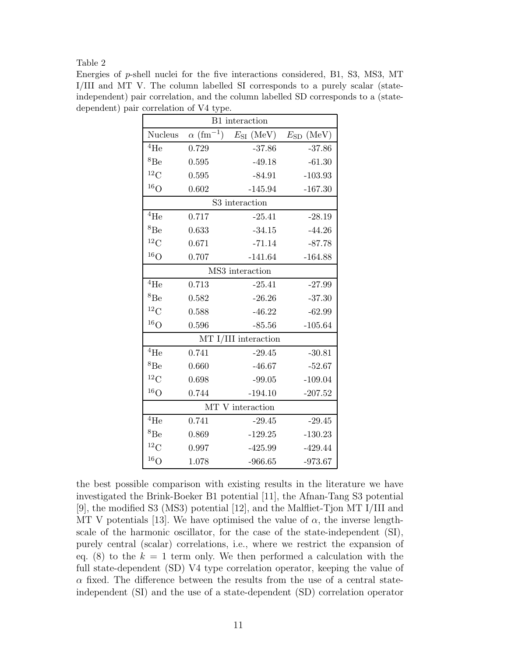Energies of p-shell nuclei for the five interactions considered, B1, S3, MS3, MT I/III and MT V. The column labelled SI corresponds to a purely scalar (stateindependent) pair correlation, and the column labelled SD corresponds to a (statedependent) pair correlation of V4 type.

| B1 interaction       |                              |                |                   |  |  |
|----------------------|------------------------------|----------------|-------------------|--|--|
| <b>Nucleus</b>       | $\alpha$ (fm <sup>-1</sup> ) | $E_{SI}$ (MeV) | (MeV)<br>$E_{SD}$ |  |  |
| $\rm ^4He$           | 0.729                        | $-37.86$       | $-37.86$          |  |  |
| ${}^{8}Be$           | 0.595                        | $-49.18$       | $-61.30$          |  |  |
| ${}^{12}C$           | 0.595                        | $-84.91$       | $-103.93$         |  |  |
| ${}^{16}O$           | 0.602                        | $-145.94$      | $-167.30$         |  |  |
| S3 interaction       |                              |                |                   |  |  |
| $^{4}$ He            | 0.717                        | $-25.41$       | $-28.19$          |  |  |
| ${}^{8}Be$           | 0.633                        | $-34.15$       | $-44.26$          |  |  |
| ${}^{12}C$           | 0.671                        | $-71.14$       | $-87.78$          |  |  |
| ${}^{16}O$           | 0.707                        | $-141.64$      | $-164.88$         |  |  |
| MS3 interaction      |                              |                |                   |  |  |
| $^{4}$ He            | 0.713                        | $-25.41$       | $-27.99$          |  |  |
| ${}^{8}Be$           | 0.582                        | $-26.26$       | $-37.30$          |  |  |
| ${}^{12}C$           | 0.588                        | $-46.22$       | $-62.99$          |  |  |
| ${}^{16}O$           | 0.596                        | $-85.56$       | $-105.64$         |  |  |
| MT I/III interaction |                              |                |                   |  |  |
| ${}^4\mathrm{He}$    | 0.741                        | $-29.45$       | $-30.81$          |  |  |
| ${}^{8}Be$           | 0.660                        | $-46.67$       | $-52.67$          |  |  |
| ${}^{12}C$           | 0.698                        | $-99.05$       | $-109.04$         |  |  |
| $^{16}$ O            | 0.744                        | $-194.10$      | $-207.52$         |  |  |
| MT V interaction     |                              |                |                   |  |  |
| $^{4}$ He            | 0.741                        | $-29.45$       | $-29.45$          |  |  |
| ${}^{8}Be$           | 0.869                        | $-129.25$      | $-130.23$         |  |  |
| ${}^{12}C$           | 0.997                        | $-425.99$      | $-429.44$         |  |  |
| $^{16}O$             | 1.078                        | $-966.65$      | $-973.67$         |  |  |

the best possible comparison with existing results in the literature we have investigated the Brink-Boeker B1 potential [11], the Afnan-Tang S3 potential [9], the modified S3 (MS3) potential [12], and the Malfliet-Tjon MT I/III and MT V potentials [13]. We have optimised the value of  $\alpha$ , the inverse lengthscale of the harmonic oscillator, for the case of the state-independent (SI), purely central (scalar) correlations, i.e., where we restrict the expansion of eq. (8) to the  $k = 1$  term only. We then performed a calculation with the full state-dependent (SD) V4 type correlation operator, keeping the value of  $\alpha$  fixed. The difference between the results from the use of a central stateindependent (SI) and the use of a state-dependent (SD) correlation operator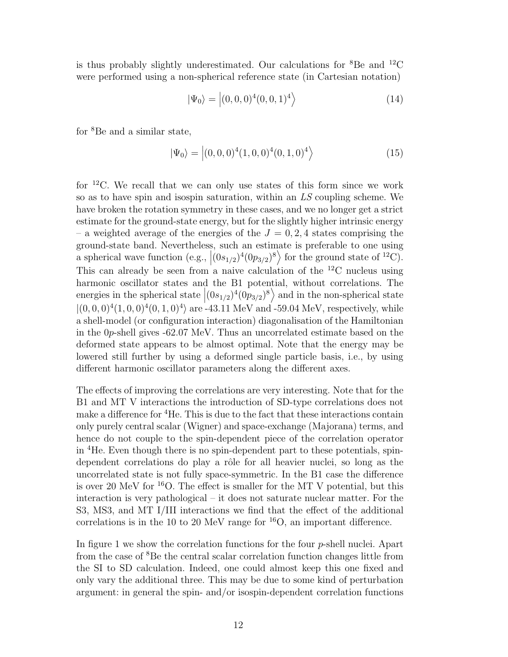is thus probably slightly underestimated. Our calculations for  ${}^{8}$ Be and  ${}^{12}$ C were performed using a non-spherical reference state (in Cartesian notation)

$$
|\Psi_0\rangle = |(0,0,0)^4 (0,0,1)^4\rangle \tag{14}
$$

for <sup>8</sup>Be and a similar state,

$$
|\Psi_0\rangle = |(0,0,0)^4(1,0,0)^4(0,1,0)^4\rangle \tag{15}
$$

for <sup>12</sup>C. We recall that we can only use states of this form since we work so as to have spin and isospin saturation, within an  $LS$  coupling scheme. We have broken the rotation symmetry in these cases, and we no longer get a strict estimate for the ground-state energy, but for the slightly higher intrinsic energy – a weighted average of the energies of the  $J = 0, 2, 4$  states comprising the ground-state band. Nevertheless, such an estimate is preferable to one using a spherical wave function (e.g.,  $|(0s_{1/2})^4 (0p_{3/2})^8\rangle$  for the ground state of <sup>12</sup>C). This can already be seen from a naive calculation of the  ${}^{12}$ C nucleus using harmonic oscillator states and the B1 potential, without correlations. The energies in the spherical state  $|(0s_{1/2})^4(0p_{3/2})^8\rangle$  and in the non-spherical state  $|(0,0,0)^4(1,0,0)^4(0,1,0)^4\rangle$  are -43.11 MeV and -59.04 MeV, respectively, while a shell-model (or configuration interaction) diagonalisation of the Hamiltonian in the 0p-shell gives -62.07 MeV. Thus an uncorrelated estimate based on the deformed state appears to be almost optimal. Note that the energy may be lowered still further by using a deformed single particle basis, i.e., by using different harmonic oscillator parameters along the different axes.

The effects of improving the correlations are very interesting. Note that for the B1 and MT V interactions the introduction of SD-type correlations does not make a difference for <sup>4</sup>He. This is due to the fact that these interactions contain only purely central scalar (Wigner) and space-exchange (Majorana) terms, and hence do not couple to the spin-dependent piece of the correlation operator in <sup>4</sup>He. Even though there is no spin-dependent part to these potentials, spindependent correlations do play a rôle for all heavier nuclei, so long as the uncorrelated state is not fully space-symmetric. In the B1 case the difference is over 20 MeV for  $^{16}O$ . The effect is smaller for the MT V potential, but this interaction is very pathological – it does not saturate nuclear matter. For the S3, MS3, and MT I/III interactions we find that the effect of the additional correlations is in the 10 to 20 MeV range for  $^{16}O$ , an important difference.

In figure 1 we show the correlation functions for the four  $p$ -shell nuclei. Apart from the case of <sup>8</sup>Be the central scalar correlation function changes little from the SI to SD calculation. Indeed, one could almost keep this one fixed and only vary the additional three. This may be due to some kind of perturbation argument: in general the spin- and/or isospin-dependent correlation functions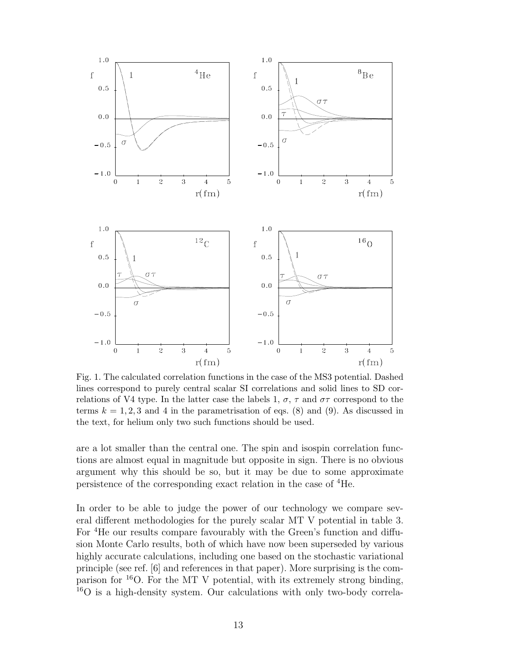

Fig. 1. The calculated correlation functions in the case of the MS3 potential. Dashed lines correspond to purely central scalar SI correlations and solid lines to SD correlations of V4 type. In the latter case the labels 1,  $\sigma$ ,  $\tau$  and  $\sigma\tau$  correspond to the terms  $k = 1, 2, 3$  and 4 in the parametrisation of eqs. (8) and (9). As discussed in the text, for helium only two such functions should be used.

are a lot smaller than the central one. The spin and isospin correlation functions are almost equal in magnitude but opposite in sign. There is no obvious argument why this should be so, but it may be due to some approximate persistence of the corresponding exact relation in the case of <sup>4</sup>He.

In order to be able to judge the power of our technology we compare several different methodologies for the purely scalar MT V potential in table 3. For <sup>4</sup>He our results compare favourably with the Green's function and diffusion Monte Carlo results, both of which have now been superseded by various highly accurate calculations, including one based on the stochastic variational principle (see ref. [6] and references in that paper). More surprising is the comparison for  $^{16}$ O. For the MT V potential, with its extremely strong binding, <sup>16</sup>O is a high-density system. Our calculations with only two-body correla-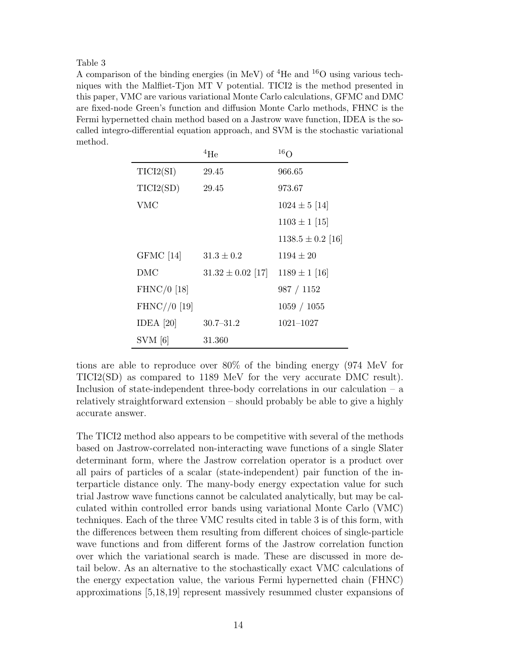A comparison of the binding energies (in MeV) of <sup>4</sup>He and <sup>16</sup>O using various techniques with the Malfliet-Tjon MT V potential. TICI2 is the method presented in this paper, VMC are various variational Monte Carlo calculations, GFMC and DMC are fixed-node Green's function and diffusion Monte Carlo methods, FHNC is the Fermi hypernetted chain method based on a Jastrow wave function, IDEA is the socalled integro-differential equation approach, and SVM is the stochastic variational method.

|                | $^{4}$ He             | $16\Omega$            |
|----------------|-----------------------|-----------------------|
| TICI2(SI)      | 29.45                 | 966.65                |
| TICI2(SD)      | 29.45                 | 973.67                |
| <b>VMC</b>     |                       | $1024 \pm 5$ [14]     |
|                |                       | $1103 \pm 1$ [15]     |
|                |                       | $1138.5 \pm 0.2$ [16] |
| GFMC [14]      | $31.3 \pm 0.2$        | $1194 \pm 20$         |
| DMC            | $31.32 \pm 0.02$ [17] | $1189 \pm 1$ [16]     |
| FHNC/ $0$ [18] |                       | 987 / 1152            |
| $FHNC//0$ [19] |                       | 1059 / 1055           |
| IDEA $[20]$    | $30.7 - 31.2$         | $1021 - 1027$         |
| $SVM$ [6]      | 31.360                |                       |

tions are able to reproduce over 80% of the binding energy (974 MeV for TICI2(SD) as compared to 1189 MeV for the very accurate DMC result). Inclusion of state-independent three-body correlations in our calculation  $-$  a relatively straightforward extension – should probably be able to give a highly accurate answer.

The TICI2 method also appears to be competitive with several of the methods based on Jastrow-correlated non-interacting wave functions of a single Slater determinant form, where the Jastrow correlation operator is a product over all pairs of particles of a scalar (state-independent) pair function of the interparticle distance only. The many-body energy expectation value for such trial Jastrow wave functions cannot be calculated analytically, but may be calculated within controlled error bands using variational Monte Carlo (VMC) techniques. Each of the three VMC results cited in table 3 is of this form, with the differences between them resulting from different choices of single-particle wave functions and from different forms of the Jastrow correlation function over which the variational search is made. These are discussed in more detail below. As an alternative to the stochastically exact VMC calculations of the energy expectation value, the various Fermi hypernetted chain (FHNC) approximations [5,18,19] represent massively resummed cluster expansions of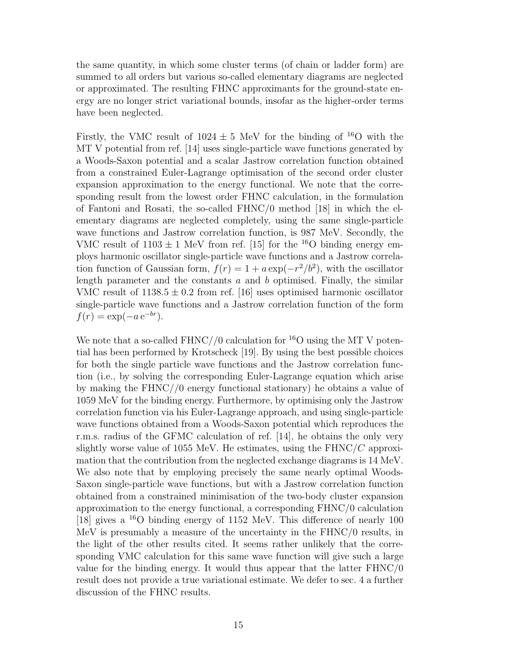the same quantity, in which some cluster terms (of chain or ladder form) are summed to all orders but various so-called elementary diagrams are neglected or approximated. The resulting FHNC approximants for the ground-state energy are no longer strict variational bounds, insofar as the higher-order terms have been neglected.

Firstly, the VMC result of  $1024 \pm 5$  MeV for the binding of <sup>16</sup>O with the MT V potential from ref. [14] uses single-particle wave functions generated by a Woods-Saxon potential and a scalar Jastrow correlation function obtained from a constrained Euler-Lagrange optimisation of the second order cluster expansion approximation to the energy functional. We note that the corresponding result from the lowest order FHNC calculation, in the formulation of Fantoni and Rosati, the so-called FHNC/0 method [18] in which the elementary diagrams are neglected completely, using the same single-particle wave functions and Jastrow correlation function, is 987 MeV. Secondly, the VMC result of  $1103 \pm 1$  MeV from ref. [15] for the <sup>16</sup>O binding energy employs harmonic oscillator single-particle wave functions and a Jastrow correlation function of Gaussian form,  $f(r) = 1 + a \exp(-r^2/b^2)$ , with the oscillator length parameter and the constants  $a$  and  $b$  optimised. Finally, the similar VMC result of  $1138.5 \pm 0.2$  from ref. [16] uses optimised harmonic oscillator single-particle wave functions and a Jastrow correlation function of the form  $f(r) = \exp(-a e^{-br}).$ 

We note that a so-called FHNC//0 calculation for  $^{16}O$  using the MT V potential has been performed by Krotscheck [19]. By using the best possible choices for both the single particle wave functions and the Jastrow correlation function (i.e., by solving the corresponding Euler-Lagrange equation which arise by making the FHNC//0 energy functional stationary) he obtains a value of 1059 MeV for the binding energy. Furthermore, by optimising only the Jastrow correlation function via his Euler-Lagrange approach, and using single-particle wave functions obtained from a Woods-Saxon potential which reproduces the r.m.s. radius of the GFMC calculation of ref. [14], he obtains the only very slightly worse value of 1055 MeV. He estimates, using the  $FHNC/C$  approximation that the contribution from the neglected exchange diagrams is 14 MeV. We also note that by employing precisely the same nearly optimal Woods-Saxon single-particle wave functions, but with a Jastrow correlation function obtained from a constrained minimisation of the two-body cluster expansion approximation to the energy functional, a corresponding FHNC/0 calculation [18] gives a <sup>16</sup>O binding energy of 1152 MeV. This difference of nearly 100 MeV is presumably a measure of the uncertainty in the FHNC/0 results, in the light of the other results cited. It seems rather unlikely that the corresponding VMC calculation for this same wave function will give such a large value for the binding energy. It would thus appear that the latter FHNC/0 result does not provide a true variational estimate. We defer to sec. 4 a further discussion of the FHNC results.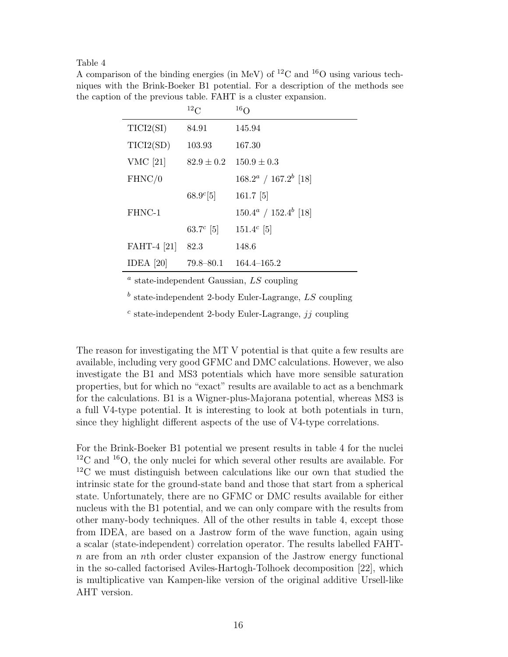A comparison of the binding energies (in MeV) of <sup>12</sup>C and <sup>16</sup>O using various techniques with the Brink-Boeker B1 potential. For a description of the methods see the caption of the previous table. FAHT is a cluster expansion.

|             | $^{12}$ C      | 16 <sub>O</sub>          |
|-------------|----------------|--------------------------|
| TICI2(SI)   | 84.91          | 145.94                   |
| TICI2(SD)   | 103.93         | 167.30                   |
| VMC $[21]$  | $82.9 \pm 0.2$ | $150.9 \pm 0.3$          |
| FHNC/0      |                | $168.2^a / 167.2^b$ [18] |
|             | $68.9^{c}[5]$  | $161.7$ [5]              |
| FHNC-1      |                | $150.4^a / 152.4^b$ [18] |
|             | 63.7 $^c$ [5]  | $151.4^c$ [5]            |
| FAHT-4 [21] | 82.3           | 148.6                    |
| IDEA $[20]$ | $79.8 - 80.1$  | $164.4 - 165.2$          |

<sup>a</sup> state-independent Gaussian, LS coupling

 $<sup>b</sup>$  state-independent 2-body Euler-Lagrange, LS coupling</sup>

 $c$  state-independent 2-body Euler-Lagrange,  $jj$  coupling

The reason for investigating the MT V potential is that quite a few results are available, including very good GFMC and DMC calculations. However, we also investigate the B1 and MS3 potentials which have more sensible saturation properties, but for which no "exact" results are available to act as a benchmark for the calculations. B1 is a Wigner-plus-Majorana potential, whereas MS3 is a full V4-type potential. It is interesting to look at both potentials in turn, since they highlight different aspects of the use of V4-type correlations.

For the Brink-Boeker B1 potential we present results in table 4 for the nuclei  $12^{\circ}$ C and  $16^{\circ}$ , the only nuclei for which several other results are available. For <sup>12</sup>C we must distinguish between calculations like our own that studied the intrinsic state for the ground-state band and those that start from a spherical state. Unfortunately, there are no GFMC or DMC results available for either nucleus with the B1 potential, and we can only compare with the results from other many-body techniques. All of the other results in table 4, except those from IDEA, are based on a Jastrow form of the wave function, again using a scalar (state-independent) correlation operator. The results labelled FAHTn are from an nth order cluster expansion of the Jastrow energy functional in the so-called factorised Aviles-Hartogh-Tolhoek decomposition [22], which is multiplicative van Kampen-like version of the original additive Ursell-like AHT version.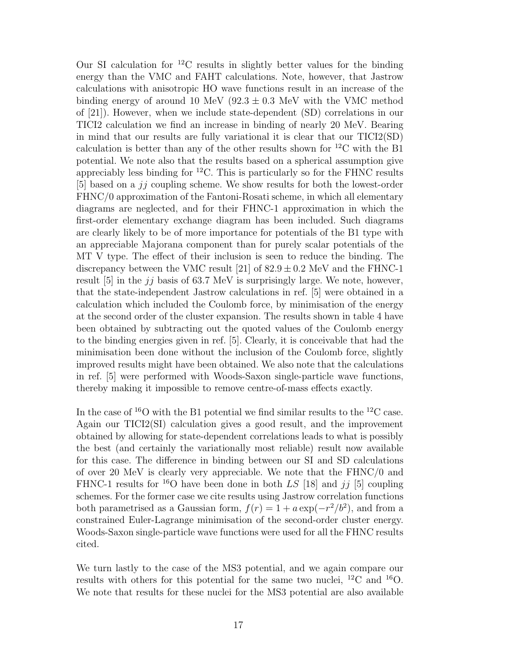Our SI calculation for  ${}^{12}$ C results in slightly better values for the binding energy than the VMC and FAHT calculations. Note, however, that Jastrow calculations with anisotropic HO wave functions result in an increase of the binding energy of around 10 MeV ( $92.3 \pm 0.3$  MeV with the VMC method of [21]). However, when we include state-dependent (SD) correlations in our TICI2 calculation we find an increase in binding of nearly 20 MeV. Bearing in mind that our results are fully variational it is clear that our TICI2(SD) calculation is better than any of the other results shown for  ${}^{12}$ C with the B1 potential. We note also that the results based on a spherical assumption give appreciably less binding for <sup>12</sup>C. This is particularly so for the FHNC results [5] based on a  $jj$  coupling scheme. We show results for both the lowest-order FHNC/0 approximation of the Fantoni-Rosati scheme, in which all elementary diagrams are neglected, and for their FHNC-1 approximation in which the first-order elementary exchange diagram has been included. Such diagrams are clearly likely to be of more importance for potentials of the B1 type with an appreciable Majorana component than for purely scalar potentials of the MT V type. The effect of their inclusion is seen to reduce the binding. The discrepancy between the VMC result [21] of  $82.9 \pm 0.2$  MeV and the FHNC-1 result  $[5]$  in the jj basis of 63.7 MeV is surprisingly large. We note, however, that the state-independent Jastrow calculations in ref. [5] were obtained in a calculation which included the Coulomb force, by minimisation of the energy at the second order of the cluster expansion. The results shown in table 4 have been obtained by subtracting out the quoted values of the Coulomb energy to the binding energies given in ref. [5]. Clearly, it is conceivable that had the minimisation been done without the inclusion of the Coulomb force, slightly improved results might have been obtained. We also note that the calculations in ref. [5] were performed with Woods-Saxon single-particle wave functions, thereby making it impossible to remove centre-of-mass effects exactly.

In the case of  ${}^{16}O$  with the B1 potential we find similar results to the  ${}^{12}C$  case. Again our TICI2(SI) calculation gives a good result, and the improvement obtained by allowing for state-dependent correlations leads to what is possibly the best (and certainly the variationally most reliable) result now available for this case. The difference in binding between our SI and SD calculations of over 20 MeV is clearly very appreciable. We note that the FHNC/0 and FHNC-1 results for <sup>16</sup>O have been done in both LS [18] and jj [5] coupling schemes. For the former case we cite results using Jastrow correlation functions both parametrised as a Gaussian form,  $f(r) = 1 + a \exp(-r^2/b^2)$ , and from a constrained Euler-Lagrange minimisation of the second-order cluster energy. Woods-Saxon single-particle wave functions were used for all the FHNC results cited.

We turn lastly to the case of the MS3 potential, and we again compare our results with others for this potential for the same two nuclei,  $^{12}$ C and  $^{16}$ O. We note that results for these nuclei for the MS3 potential are also available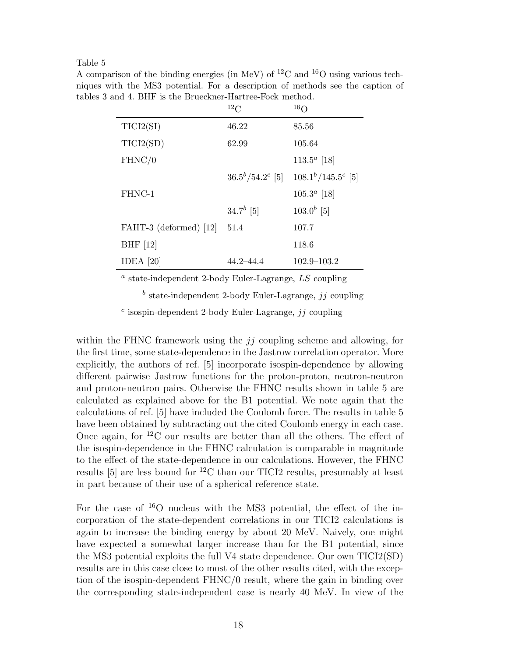A comparison of the binding energies (in MeV) of  ${}^{12}$ C and  ${}^{16}$ O using various techniques with the MS3 potential. For a description of methods see the caption of tables 3 and 4. BHF is the Brueckner-Hartree-Fock method.

|                        | 12C                     | 16 <sub>O</sub>           |
|------------------------|-------------------------|---------------------------|
| TICI2(SI)              | 46.22                   | 85.56                     |
| TICI2(SD)              | 62.99                   | 105.64                    |
| FHNC/0                 |                         | $113.5^a$ [18]            |
|                        | $36.5^{b}/54.2^{c}$ [5] | $108.1^{b}/145.5^{c}$ [5] |
| FHNC-1                 |                         | $105.3^a$ [18]            |
|                        | $34.7^{b}$ [5]          | $103.0^{b}$ [5]           |
| FAHT-3 (deformed) [12] | 51.4                    | 107.7                     |
| BHF $[12]$             |                         | 118.6                     |
| IDEA $[20]$            | 44.2–44.4               | $102.9 - 103.2$           |

<sup>a</sup> state-independent 2-body Euler-Lagrange, LS coupling

 $<sup>b</sup>$  state-independent 2-body Euler-Lagrange, jj coupling</sup>

 $c$  isospin-dependent 2-body Euler-Lagrange, jj coupling

within the FHNC framework using the  $jj$  coupling scheme and allowing, for the first time, some state-dependence in the Jastrow correlation operator. More explicitly, the authors of ref. [5] incorporate isospin-dependence by allowing different pairwise Jastrow functions for the proton-proton, neutron-neutron and proton-neutron pairs. Otherwise the FHNC results shown in table 5 are calculated as explained above for the B1 potential. We note again that the calculations of ref. [5] have included the Coulomb force. The results in table 5 have been obtained by subtracting out the cited Coulomb energy in each case. Once again, for  ${}^{12}$ C our results are better than all the others. The effect of the isospin-dependence in the FHNC calculation is comparable in magnitude to the effect of the state-dependence in our calculations. However, the FHNC results [5] are less bound for <sup>12</sup>C than our TICI2 results, presumably at least in part because of their use of a spherical reference state.

For the case of <sup>16</sup>O nucleus with the MS3 potential, the effect of the incorporation of the state-dependent correlations in our TICI2 calculations is again to increase the binding energy by about 20 MeV. Naively, one might have expected a somewhat larger increase than for the B1 potential, since the MS3 potential exploits the full V4 state dependence. Our own TICI2(SD) results are in this case close to most of the other results cited, with the exception of the isospin-dependent FHNC/0 result, where the gain in binding over the corresponding state-independent case is nearly 40 MeV. In view of the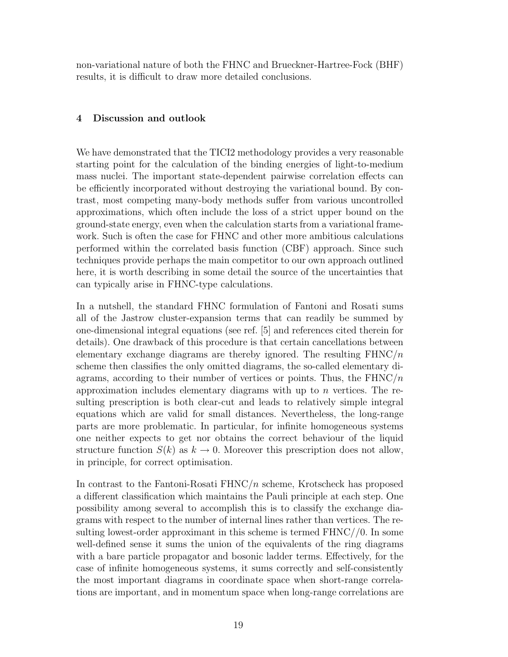non-variational nature of both the FHNC and Brueckner-Hartree-Fock (BHF) results, it is difficult to draw more detailed conclusions.

# 4 Discussion and outlook

We have demonstrated that the TICI2 methodology provides a very reasonable starting point for the calculation of the binding energies of light-to-medium mass nuclei. The important state-dependent pairwise correlation effects can be efficiently incorporated without destroying the variational bound. By contrast, most competing many-body methods suffer from various uncontrolled approximations, which often include the loss of a strict upper bound on the ground-state energy, even when the calculation starts from a variational framework. Such is often the case for FHNC and other more ambitious calculations performed within the correlated basis function (CBF) approach. Since such techniques provide perhaps the main competitor to our own approach outlined here, it is worth describing in some detail the source of the uncertainties that can typically arise in FHNC-type calculations.

In a nutshell, the standard FHNC formulation of Fantoni and Rosati sums all of the Jastrow cluster-expansion terms that can readily be summed by one-dimensional integral equations (see ref. [5] and references cited therein for details). One drawback of this procedure is that certain cancellations between elementary exchange diagrams are thereby ignored. The resulting  $FHNC/n$ scheme then classifies the only omitted diagrams, the so-called elementary diagrams, according to their number of vertices or points. Thus, the  $FHNC/n$ approximation includes elementary diagrams with up to n vertices. The resulting prescription is both clear-cut and leads to relatively simple integral equations which are valid for small distances. Nevertheless, the long-range parts are more problematic. In particular, for infinite homogeneous systems one neither expects to get nor obtains the correct behaviour of the liquid structure function  $S(k)$  as  $k \to 0$ . Moreover this prescription does not allow, in principle, for correct optimisation.

In contrast to the Fantoni-Rosati FHNC/n scheme, Krotscheck has proposed a different classification which maintains the Pauli principle at each step. One possibility among several to accomplish this is to classify the exchange diagrams with respect to the number of internal lines rather than vertices. The resulting lowest-order approximant in this scheme is termed FHNC//0. In some well-defined sense it sums the union of the equivalents of the ring diagrams with a bare particle propagator and bosonic ladder terms. Effectively, for the case of infinite homogeneous systems, it sums correctly and self-consistently the most important diagrams in coordinate space when short-range correlations are important, and in momentum space when long-range correlations are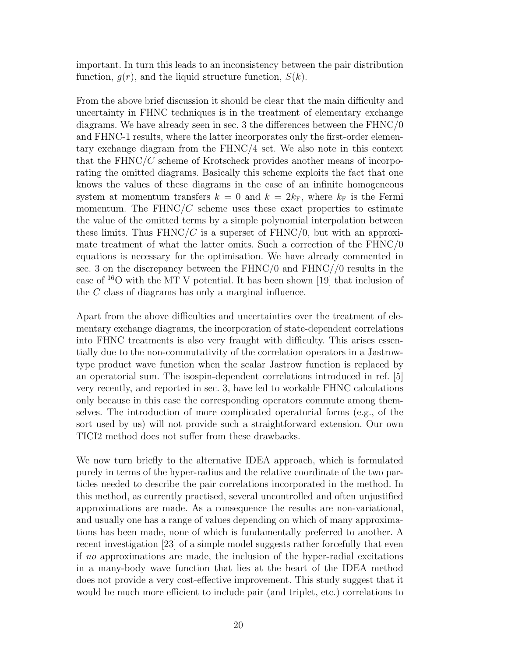important. In turn this leads to an inconsistency between the pair distribution function,  $q(r)$ , and the liquid structure function,  $S(k)$ .

From the above brief discussion it should be clear that the main difficulty and uncertainty in FHNC techniques is in the treatment of elementary exchange diagrams. We have already seen in sec. 3 the differences between the FHNC/0 and FHNC-1 results, where the latter incorporates only the first-order elementary exchange diagram from the FHNC/4 set. We also note in this context that the  $FHNC/C$  scheme of Krotscheck provides another means of incorporating the omitted diagrams. Basically this scheme exploits the fact that one knows the values of these diagrams in the case of an infinite homogeneous system at momentum transfers  $k = 0$  and  $k = 2k_F$ , where  $k_F$  is the Fermi momentum. The  $FHNC/C$  scheme uses these exact properties to estimate the value of the omitted terms by a simple polynomial interpolation between these limits. Thus  $FHNC/C$  is a superset of  $FHNC/0$ , but with an approximate treatment of what the latter omits. Such a correction of the FHNC/0 equations is necessary for the optimisation. We have already commented in sec. 3 on the discrepancy between the FHNC/0 and FHNC//0 results in the case of  $^{16}$ O with the MT V potential. It has been shown [19] that inclusion of the C class of diagrams has only a marginal influence.

Apart from the above difficulties and uncertainties over the treatment of elementary exchange diagrams, the incorporation of state-dependent correlations into FHNC treatments is also very fraught with difficulty. This arises essentially due to the non-commutativity of the correlation operators in a Jastrowtype product wave function when the scalar Jastrow function is replaced by an operatorial sum. The isospin-dependent correlations introduced in ref. [5] very recently, and reported in sec. 3, have led to workable FHNC calculations only because in this case the corresponding operators commute among themselves. The introduction of more complicated operatorial forms (e.g., of the sort used by us) will not provide such a straightforward extension. Our own TICI2 method does not suffer from these drawbacks.

We now turn briefly to the alternative IDEA approach, which is formulated purely in terms of the hyper-radius and the relative coordinate of the two particles needed to describe the pair correlations incorporated in the method. In this method, as currently practised, several uncontrolled and often unjustified approximations are made. As a consequence the results are non-variational, and usually one has a range of values depending on which of many approximations has been made, none of which is fundamentally preferred to another. A recent investigation [23] of a simple model suggests rather forcefully that even if no approximations are made, the inclusion of the hyper-radial excitations in a many-body wave function that lies at the heart of the IDEA method does not provide a very cost-effective improvement. This study suggest that it would be much more efficient to include pair (and triplet, etc.) correlations to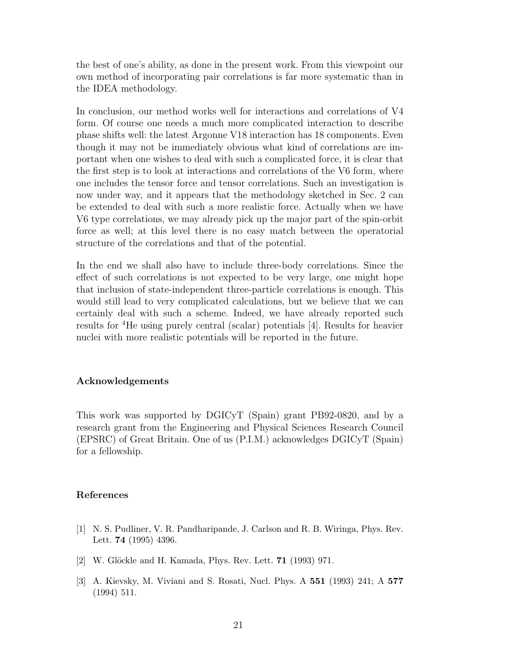the best of one's ability, as done in the present work. From this viewpoint our own method of incorporating pair correlations is far more systematic than in the IDEA methodology.

In conclusion, our method works well for interactions and correlations of V4 form. Of course one needs a much more complicated interaction to describe phase shifts well: the latest Argonne V18 interaction has 18 components. Even though it may not be immediately obvious what kind of correlations are important when one wishes to deal with such a complicated force, it is clear that the first step is to look at interactions and correlations of the V6 form, where one includes the tensor force and tensor correlations. Such an investigation is now under way, and it appears that the methodology sketched in Sec. 2 can be extended to deal with such a more realistic force. Actually when we have V6 type correlations, we may already pick up the major part of the spin-orbit force as well; at this level there is no easy match between the operatorial structure of the correlations and that of the potential.

In the end we shall also have to include three-body correlations. Since the effect of such correlations is not expected to be very large, one might hope that inclusion of state-independent three-particle correlations is enough. This would still lead to very complicated calculations, but we believe that we can certainly deal with such a scheme. Indeed, we have already reported such results for <sup>4</sup>He using purely central (scalar) potentials [4]. Results for heavier nuclei with more realistic potentials will be reported in the future.

## Acknowledgements

This work was supported by DGICyT (Spain) grant PB92-0820, and by a research grant from the Engineering and Physical Sciences Research Council (EPSRC) of Great Britain. One of us (P.I.M.) acknowledges DGICyT (Spain) for a fellowship.

## References

- [1] N. S. Pudliner, V. R. Pandharipande, J. Carlson and R. B. Wiringa, Phys. Rev. Lett. 74 (1995) 4396.
- [2] W. Glöckle and H. Kamada, Phys. Rev. Lett. **71** (1993) 971.
- [3] A. Kievsky, M. Viviani and S. Rosati, Nucl. Phys. A 551 (1993) 241; A 577 (1994) 511.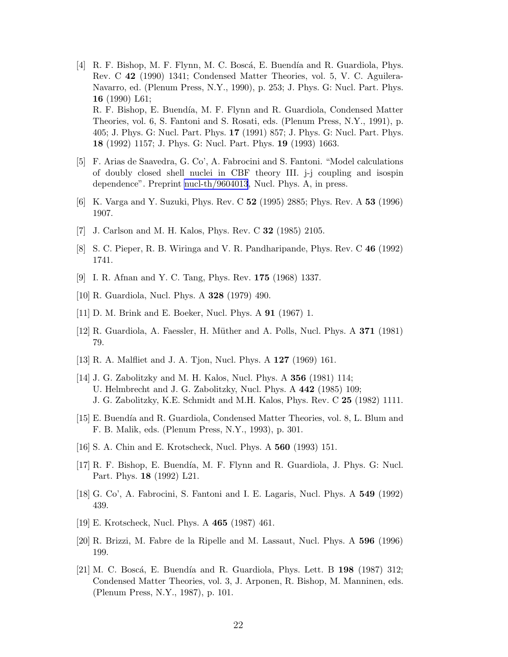- [4] R. F. Bishop, M. F. Flynn, M. C. Boscá, E. Buendía and R. Guardiola, Phys. Rev. C 42 (1990) 1341; Condensed Matter Theories, vol. 5, V. C. Aguilera-Navarro, ed. (Plenum Press, N.Y., 1990), p. 253; J. Phys. G: Nucl. Part. Phys. 16 (1990) L61; R. F. Bishop, E. Buendía, M. F. Flynn and R. Guardiola, Condensed Matter Theories, vol. 6, S. Fantoni and S. Rosati, eds. (Plenum Press, N.Y., 1991), p. 405; J. Phys. G: Nucl. Part. Phys. 17 (1991) 857; J. Phys. G: Nucl. Part. Phys.
- [5] F. Arias de Saavedra, G. Co', A. Fabrocini and S. Fantoni. "Model calculations of doubly closed shell nuclei in CBF theory III. j-j coupling and isospin dependence". Preprint [nucl-th/9604013](http://arxiv.org/abs/nucl-th/9604013), Nucl. Phys. A, in press.

18 (1992) 1157; J. Phys. G: Nucl. Part. Phys. 19 (1993) 1663.

- [6] K. Varga and Y. Suzuki, Phys. Rev. C 52 (1995) 2885; Phys. Rev. A 53 (1996) 1907.
- [7] J. Carlson and M. H. Kalos, Phys. Rev. C 32 (1985) 2105.
- [8] S. C. Pieper, R. B. Wiringa and V. R. Pandharipande, Phys. Rev. C 46 (1992) 1741.
- [9] I. R. Afnan and Y. C. Tang, Phys. Rev. 175 (1968) 1337.
- [10] R. Guardiola, Nucl. Phys. A 328 (1979) 490.
- [11] D. M. Brink and E. Boeker, Nucl. Phys. A 91 (1967) 1.
- [12] R. Guardiola, A. Faessler, H. Müther and A. Polls, Nucl. Phys. A 371 (1981) 79.
- [13] R. A. Malfliet and J. A. Tjon, Nucl. Phys. A 127 (1969) 161.
- [14] J. G. Zabolitzky and M. H. Kalos, Nucl. Phys. A 356 (1981) 114; U. Helmbrecht and J. G. Zabolitzky, Nucl. Phys. A 442 (1985) 109; J. G. Zabolitzky, K.E. Schmidt and M.H. Kalos, Phys. Rev. C 25 (1982) 1111.
- [15] E. Buendía and R. Guardiola, Condensed Matter Theories, vol. 8, L. Blum and F. B. Malik, eds. (Plenum Press, N.Y., 1993), p. 301.
- [16] S. A. Chin and E. Krotscheck, Nucl. Phys. A 560 (1993) 151.
- [17] R. F. Bishop, E. Buendía, M. F. Flynn and R. Guardiola, J. Phys. G: Nucl. Part. Phys. 18 (1992) L21.
- [18] G. Co', A. Fabrocini, S. Fantoni and I. E. Lagaris, Nucl. Phys. A 549 (1992) 439.
- [19] E. Krotscheck, Nucl. Phys. A 465 (1987) 461.
- [20] R. Brizzi, M. Fabre de la Ripelle and M. Lassaut, Nucl. Phys. A 596 (1996) 199.
- [21] M. C. Boscá, E. Buendía and R. Guardiola, Phys. Lett. B  $198$  (1987) 312; Condensed Matter Theories, vol. 3, J. Arponen, R. Bishop, M. Manninen, eds. (Plenum Press, N.Y., 1987), p. 101.